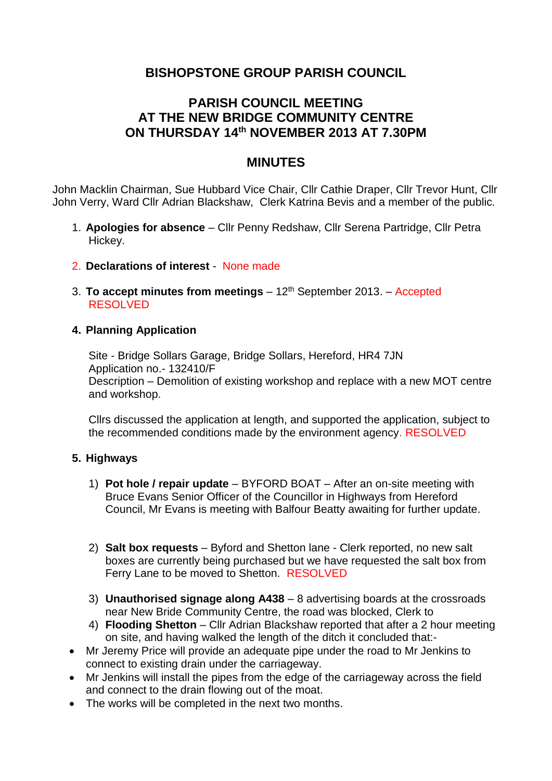# **BISHOPSTONE GROUP PARISH COUNCIL**

## **PARISH COUNCIL MEETING AT THE NEW BRIDGE COMMUNITY CENTRE ON THURSDAY 14th NOVEMBER 2013 AT 7.30PM**

### **MINUTES**

John Macklin Chairman, Sue Hubbard Vice Chair, Cllr Cathie Draper, Cllr Trevor Hunt, Cllr John Verry, Ward Cllr Adrian Blackshaw, Clerk Katrina Bevis and a member of the public.

- 1. **Apologies for absence**  Cllr Penny Redshaw, Cllr Serena Partridge, Cllr Petra Hickey.
- 2. **Declarations of interest** None made
- 3. **To accept minutes from meetings** 12th September 2013. Accepted RESOLVED

#### **4. Planning Application**

Site - Bridge Sollars Garage, Bridge Sollars, Hereford, HR4 7JN Application no.- 132410/F Description – Demolition of existing workshop and replace with a new MOT centre and workshop.

Cllrs discussed the application at length, and supported the application, subject to the recommended conditions made by the environment agency. RESOLVED

#### **5. Highways**

- 1) **Pot hole / repair update** BYFORD BOAT After an on-site meeting with Bruce Evans Senior Officer of the Councillor in Highways from Hereford Council, Mr Evans is meeting with Balfour Beatty awaiting for further update.
- 2) **Salt box requests** Byford and Shetton lane Clerk reported, no new salt boxes are currently being purchased but we have requested the salt box from Ferry Lane to be moved to Shetton. RESOLVED
- 3) **Unauthorised signage along A438** 8 advertising boards at the crossroads near New Bride Community Centre, the road was blocked, Clerk to
- 4) **Flooding Shetton** Cllr Adrian Blackshaw reported that after a 2 hour meeting on site, and having walked the length of the ditch it concluded that:-
- Mr Jeremy Price will provide an adequate pipe under the road to Mr Jenkins to connect to existing drain under the carriageway.
- Mr Jenkins will install the pipes from the edge of the carriageway across the field and connect to the drain flowing out of the moat.
- The works will be completed in the next two months.